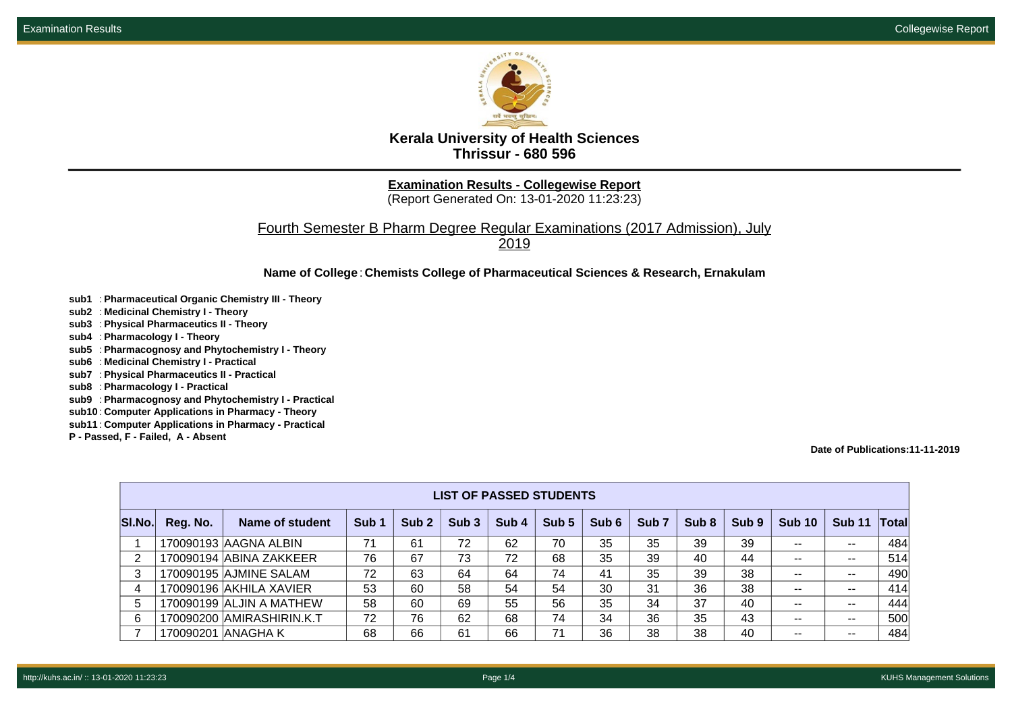

**Kerala University of Health Sciences Thrissur - 680 596**

**Examination Results - Collegewise Report**

(Report Generated On: 13-01-2020 11:23:23)

Fourth Semester B Pharm Degree Regular Examinations (2017 Admission), July 2019

**Name of College**: **Chemists College of Pharmaceutical Sciences & Research, Ernakulam**

- **sub1** : **Pharmaceutical Organic Chemistry III Theory**
- **sub2** : **Medicinal Chemistry I Theory**
- **sub3** : **Physical Pharmaceutics II Theory**
- **sub4** : **Pharmacology I Theory**
- **sub5** : **Pharmacognosy and Phytochemistry I Theory**
- **sub6** : **Medicinal Chemistry I Practical**
- **sub7** : **Physical Pharmaceutics II Practical**
- **sub8** : **Pharmacology I Practical**
- **sub9** : **Pharmacognosy and Phytochemistry I Practical**
- **sub10** : **Computer Applications in Pharmacy Theory**
- **sub11** : **Computer Applications in Pharmacy Practical**
- **P Passed, F Failed, A Absent**

**Date of Publications:11-11-2019**

|        | <b>LIST OF PASSED STUDENTS</b> |                           |                  |                  |                  |       |       |       |                  |                  |       |               |               |       |
|--------|--------------------------------|---------------------------|------------------|------------------|------------------|-------|-------|-------|------------------|------------------|-------|---------------|---------------|-------|
| SI.No. | Reg. No.                       | Name of student           | Sub <sub>1</sub> | Sub <sub>2</sub> | Sub <sub>3</sub> | Sub 4 | Sub 5 | Sub 6 | Sub <sub>7</sub> | Sub <sub>8</sub> | Sub 9 | <b>Sub 10</b> | <b>Sub 11</b> | Total |
|        |                                | 170090193 AAGNA ALBIN     | 71               | 61               | 72               | 62    | 70    | 35    | 35               | 39               | 39    | --            | $- -$         | 484   |
| 2      |                                | 170090194 ABINA ZAKKEER   | 76               | 67               | 73               | 72    | 68    | 35    | 39               | 40               | 44    | --            | $- -$         | 514   |
| 3      |                                | 170090195 AJMINE SALAM    | 72               | 63               | 64               | 64    | 74    | 41    | 35               | 39               | 38    | --            | $- -$         | 490   |
| 4      |                                | 170090196 AKHILA XAVIER   | 53               | 60               | 58               | 54    | 54    | 30    | 31               | 36               | 38    | --            | $- -$         | 414   |
| 5      |                                | 170090199 ALJIN A MATHEW  | 58               | 60               | 69               | 55    | 56    | 35    | 34               | 37               | 40    | $- -$         | $- -$         | 444   |
| 6      |                                | 170090200 AMIRASHIRIN.K.T | 72               | 76               | 62               | 68    | 74    | 34    | 36               | 35               | 43    | --            | $- -$         | 500   |
|        | 170090201                      | IANAGHA K                 | 68               | 66               | 61               | 66    | 71    | 36    | 38               | 38               | 40    | --            | $- -$         | 484   |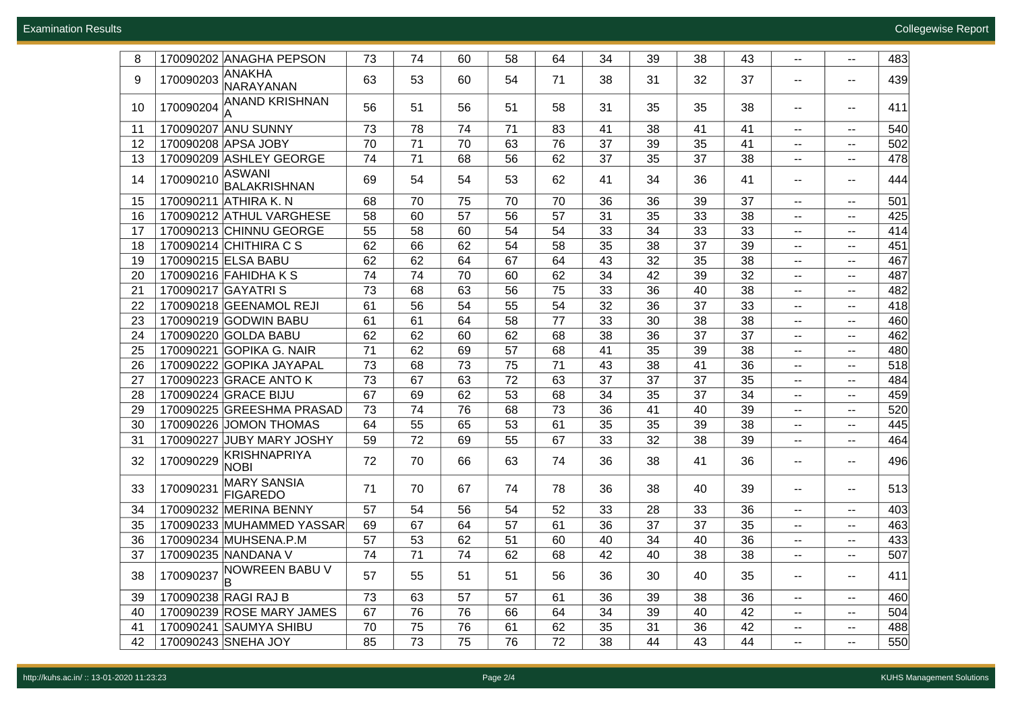Examination Results Collegewise Report

| 8  |           | 170090202 ANAGHA PEPSON               | 73 | 74 | 60 | 58 | 64 | 34 | 39 | 38 | 43 | $\mathbf{u} = \mathbf{v}$   | $\sim$                      | 483 |
|----|-----------|---------------------------------------|----|----|----|----|----|----|----|----|----|-----------------------------|-----------------------------|-----|
|    |           | <b>ANAKHA</b>                         |    |    |    |    |    |    |    |    |    |                             |                             |     |
| 9  | 170090203 | NARAYANAN                             | 63 | 53 | 60 | 54 | 71 | 38 | 31 | 32 | 37 | $\sim$                      | $\sim$                      | 439 |
| 10 | 170090204 | <b>ANAND KRISHNAN</b>                 | 56 | 51 | 56 | 51 | 58 | 31 | 35 | 35 | 38 | $\mathbf{u} = \mathbf{v}$   | $\mathbf{H}$                | 411 |
| 11 |           | 170090207 ANU SUNNY                   | 73 | 78 | 74 | 71 | 83 | 41 | 38 | 41 | 41 | $\sim$                      | $--$                        | 540 |
| 12 |           | 170090208 APSA JOBY                   | 70 | 71 | 70 | 63 | 76 | 37 | 39 | 35 | 41 | −−.                         | $\overline{\phantom{m}}$    | 502 |
| 13 |           | 170090209 ASHLEY GEORGE               | 74 | 71 | 68 | 56 | 62 | 37 | 35 | 37 | 38 | $\sim$ $\sim$               | $\sim$                      | 478 |
| 14 | 170090210 | ASWANI<br><b>BALAKRISHNAN</b>         | 69 | 54 | 54 | 53 | 62 | 41 | 34 | 36 | 41 | $\overline{\phantom{a}}$    | $\mathbf{H}$                | 444 |
| 15 |           | 170090211 ATHIRA K.N                  | 68 | 70 | 75 | 70 | 70 | 36 | 36 | 39 | 37 | $\overline{\phantom{a}}$    | $\sim$                      | 501 |
| 16 |           | 170090212 ATHUL VARGHESE              | 58 | 60 | 57 | 56 | 57 | 31 | 35 | 33 | 38 | $\sim$                      | $\sim$                      | 425 |
| 17 |           | 170090213 CHINNU GEORGE               | 55 | 58 | 60 | 54 | 54 | 33 | 34 | 33 | 33 | $\sim$ $\sim$               | $\sim$                      | 414 |
| 18 |           | 170090214 CHITHIRA C S                | 62 | 66 | 62 | 54 | 58 | 35 | 38 | 37 | 39 | $\sim$                      | $\sim$                      | 451 |
| 19 |           | 170090215 ELSA BABU                   | 62 | 62 | 64 | 67 | 64 | 43 | 32 | 35 | 38 | $\sim$ $-$                  | $\sim$                      | 467 |
| 20 |           | 170090216 FAHIDHA K S                 | 74 | 74 | 70 | 60 | 62 | 34 | 42 | 39 | 32 | $-$                         | $\sim$                      | 487 |
| 21 |           | 170090217 GAYATRI S                   | 73 | 68 | 63 | 56 | 75 | 33 | 36 | 40 | 38 | $-$                         | $\mathbf{u}$                | 482 |
| 22 |           | 170090218 GEENAMOL REJI               | 61 | 56 | 54 | 55 | 54 | 32 | 36 | 37 | 33 | $\sim$                      | $\sim$ $-$                  | 418 |
| 23 |           | 170090219 GODWIN BABU                 | 61 | 61 | 64 | 58 | 77 | 33 | 30 | 38 | 38 | $\sim$                      | $\sim$                      | 460 |
| 24 |           | 170090220 GOLDA BABU                  | 62 | 62 | 60 | 62 | 68 | 38 | 36 | 37 | 37 | $-$                         | $\mathbf{u}$                | 462 |
| 25 |           | 170090221 GOPIKA G. NAIR              | 71 | 62 | 69 | 57 | 68 | 41 | 35 | 39 | 38 | $\sim$                      | $\sim$                      | 480 |
| 26 |           | 170090222 GOPIKA JAYAPAL              | 73 | 68 | 73 | 75 | 71 | 43 | 38 | 41 | 36 | $\overline{\phantom{a}}$    | $\sim$                      | 518 |
| 27 |           | 170090223 GRACE ANTO K                | 73 | 67 | 63 | 72 | 63 | 37 | 37 | 37 | 35 | $\overline{\phantom{a}}$    | $\sim$                      | 484 |
| 28 |           | 170090224 GRACE BIJU                  | 67 | 69 | 62 | 53 | 68 | 34 | 35 | 37 | 34 | $\overline{\phantom{a}}$    | $\sim$                      | 459 |
| 29 |           | 170090225 GREESHMA PRASAD             | 73 | 74 | 76 | 68 | 73 | 36 | 41 | 40 | 39 | $\sim$                      | $\mathcal{L}_{\mathcal{F}}$ | 520 |
| 30 |           | 170090226 JOMON THOMAS                | 64 | 55 | 65 | 53 | 61 | 35 | 35 | 39 | 38 | --                          | $\sim$                      | 445 |
| 31 |           | 170090227 JUBY MARY JOSHY             | 59 | 72 | 69 | 55 | 67 | 33 | 32 | 38 | 39 | $\sim$                      | $\sim$                      | 464 |
| 32 | 170090229 | KRISHNAPRIYA<br><b>NOBI</b>           | 72 | 70 | 66 | 63 | 74 | 36 | 38 | 41 | 36 | $\mathcal{L} = \mathcal{L}$ | $\sim$                      | 496 |
| 33 | 170090231 | <b>MARY SANSIA</b><br><b>FIGAREDO</b> | 71 | 70 | 67 | 74 | 78 | 36 | 38 | 40 | 39 | н.                          | $\mathcal{L}_{\mathcal{F}}$ | 513 |
| 34 |           | 170090232 MERINA BENNY                | 57 | 54 | 56 | 54 | 52 | 33 | 28 | 33 | 36 | $\sim$                      | $\mathbf{--}$               | 403 |
| 35 |           | 170090233 MUHAMMED YASSAR             | 69 | 67 | 64 | 57 | 61 | 36 | 37 | 37 | 35 | $\sim$                      | $\sim$                      | 463 |
| 36 |           | 170090234 MUHSENA.P.M                 | 57 | 53 | 62 | 51 | 60 | 40 | 34 | 40 | 36 | $\sim$                      | $\sim$                      | 433 |
| 37 |           | 170090235 NANDANA V                   | 74 | 71 | 74 | 62 | 68 | 42 | 40 | 38 | 38 | $\sim$                      | $\sim$                      | 507 |
| 38 | 170090237 | NOWREEN BABU V<br>ΙB                  | 57 | 55 | 51 | 51 | 56 | 36 | 30 | 40 | 35 | $- -$                       | $\mathcal{L}_{\mathcal{F}}$ | 411 |
| 39 |           | 170090238 RAGI RAJ B                  | 73 | 63 | 57 | 57 | 61 | 36 | 39 | 38 | 36 | $\overline{\phantom{a}}$    | $\sim$                      | 460 |
| 40 |           | 170090239 ROSE MARY JAMES             | 67 | 76 | 76 | 66 | 64 | 34 | 39 | 40 | 42 | $\sim$ $-$                  | $\sim$ $-$                  | 504 |
| 41 |           | 170090241 SAUMYA SHIBU                | 70 | 75 | 76 | 61 | 62 | 35 | 31 | 36 | 42 | $\overline{\phantom{a}}$    | $\overline{\phantom{m}}$    | 488 |
| 42 |           | 170090243 SNEHA JOY                   | 85 | 73 | 75 | 76 | 72 | 38 | 44 | 43 | 44 | $-$                         | $\sim$                      | 550 |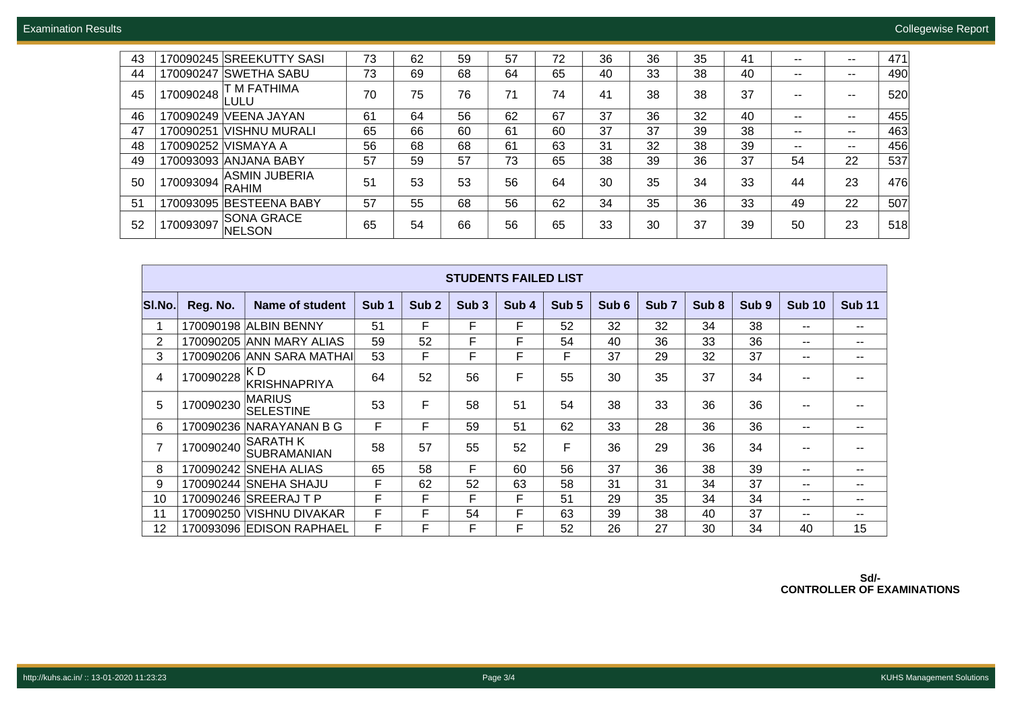| 43 |           | 170090245 SREEKUTTY SASI      | 73 | 62 | 59 | 57 | 72 | 36 | 36 | 35 | 41 | -- | $- -$ | 471 |
|----|-----------|-------------------------------|----|----|----|----|----|----|----|----|----|----|-------|-----|
| 44 | 170090247 | <b>SWETHA SABU</b>            | 73 | 69 | 68 | 64 | 65 | 40 | 33 | 38 | 40 | -- | $- -$ | 490 |
| 45 | 170090248 | T M FATHIMA<br>ULU-           | 70 | 75 | 76 | 71 | 74 | 41 | 38 | 38 | 37 | -- | --    | 520 |
| 46 | 170090249 | <b>VEENA JAYAN</b>            | 61 | 64 | 56 | 62 | 67 | 37 | 36 | 32 | 40 | -- | $- -$ | 455 |
| 47 | 170090251 | VISHNU MURALI                 | 65 | 66 | 60 | 61 | 60 | 37 | 37 | 39 | 38 | -- | $- -$ | 463 |
| 48 | 170090252 | IVISMAYA A                    | 56 | 68 | 68 | 61 | 63 | 31 | 32 | 38 | 39 |    | $- -$ | 456 |
| 49 |           | 170093093 ANJANA BABY         | 57 | 59 | 57 | 73 | 65 | 38 | 39 | 36 | 37 | 54 | 22    | 537 |
| 50 | 170093094 | <b>ASMIN JUBERIA</b><br>RAHIM | 51 | 53 | 53 | 56 | 64 | 30 | 35 | 34 | 33 | 44 | 23    | 476 |
| 51 | 170093095 | <b>IBESTEENA BABY</b>         | 57 | 55 | 68 | 56 | 62 | 34 | 35 | 36 | 33 | 49 | 22    | 507 |
| 52 | 170093097 | <b>SONA GRACE</b><br>NELSON   | 65 | 54 | 66 | 56 | 65 | 33 | 30 | 37 | 39 | 50 | 23    | 518 |

|                | <b>STUDENTS FAILED LIST</b> |                                |                  |                  |                  |       |                  |                  |                  |                  |                  |               |               |  |
|----------------|-----------------------------|--------------------------------|------------------|------------------|------------------|-------|------------------|------------------|------------------|------------------|------------------|---------------|---------------|--|
| SI.No.         | Reg. No.                    | <b>Name of student</b>         | Sub <sub>1</sub> | Sub <sub>2</sub> | Sub <sub>3</sub> | Sub 4 | Sub <sub>5</sub> | Sub <sub>6</sub> | Sub <sub>7</sub> | Sub <sub>8</sub> | Sub <sub>9</sub> | <b>Sub 10</b> | <b>Sub 11</b> |  |
|                |                             | 170090198 ALBIN BENNY          | 51               | F                | F                | F.    | 52               | 32               | 32               | 34               | 38               | $- -$         | $\sim$ $\sim$ |  |
| $\overline{2}$ |                             | 170090205 ANN MARY ALIAS       | 59               | 52               | F                | F     | 54               | 40               | 36               | 33               | 36               | $- -$         | $\sim$ $\sim$ |  |
| 3              |                             | 170090206 ANN SARA MATHAI      | 53               | F                | F                | F     | F                | 37               | 29               | 32               | 37               | $- -$         | $\sim$ $\sim$ |  |
| 4              | 170090228                   | K D<br><b>KRISHNAPRIYA</b>     | 64               | 52               | 56               | F     | 55               | 30               | 35               | 37               | 34               | --            | $- -$         |  |
| 5              | 170090230                   | MARIUS<br><b>SELESTINE</b>     | 53               | F                | 58               | 51    | 54               | 38               | 33               | 36               | 36               | $- -$         | $\sim$ $\sim$ |  |
| 6              | 170090236                   | NARAYANAN B G                  | F                | F                | 59               | 51    | 62               | 33               | 28               | 36               | 36               | $- -$         | $\sim$ $\sim$ |  |
| $\overline{7}$ | 170090240                   | <b>SARATH K</b><br>SUBRAMANIAN | 58               | 57               | 55               | 52    | F                | 36               | 29               | 36               | 34               | $- -$         |               |  |
| 8              |                             | 170090242 SNEHA ALIAS          | 65               | 58               | F                | 60    | 56               | 37               | 36               | 38               | 39               | $- -$         | $\sim$ $\sim$ |  |
| 9              |                             | 170090244 SNEHA SHAJU          | F                | 62               | 52               | 63    | 58               | 31               | 31               | 34               | 37               | $- -$         | $- -$         |  |
| 10             |                             | 170090246 SREERAJ T P          | F                | F                | F                | F     | 51               | 29               | 35               | 34               | 34               | $- -$         | $- -$         |  |
| 11             | 170090250                   | <b>VISHNU DIVAKAR</b>          | F                | F                | 54               | F     | 63               | 39               | 38               | 40               | 37               | $- -$         | $\sim$ $\sim$ |  |
| 12             |                             | 170093096 EDISON RAPHAEL       | F                | F                | F                | F     | 52               | 26               | 27               | 30               | 34               | 40            | 15            |  |

**Sd/- CONTROLLER OF EXAMINATIONS**